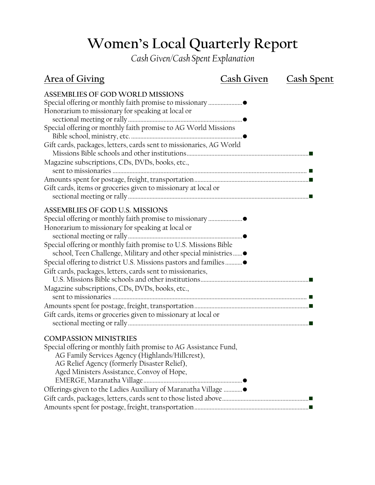## **Women's Local Quarterly Report**

*Cash Given/Cash Spent Explanation*

| <b>Area of Giving</b>                                                                                                                                                                                                                                                                                                                                                                                                                                                           | Cash Given | <u>Cash Spent</u> |
|---------------------------------------------------------------------------------------------------------------------------------------------------------------------------------------------------------------------------------------------------------------------------------------------------------------------------------------------------------------------------------------------------------------------------------------------------------------------------------|------------|-------------------|
| <b>ASSEMBLIES OF GOD WORLD MISSIONS</b><br>Honorarium to missionary for speaking at local or<br>Special offering or monthly faith promise to AG World Missions<br>Gift cards, packages, letters, cards sent to missionaries, AG World<br>Magazine subscriptions, CDs, DVDs, books, etc.,<br>Gift cards, items or groceries given to missionary at local or                                                                                                                      |            |                   |
|                                                                                                                                                                                                                                                                                                                                                                                                                                                                                 |            |                   |
| ASSEMBLIES OF GOD U.S. MISSIONS<br>Honorarium to missionary for speaking at local or<br>Special offering or monthly faith promise to U.S. Missions Bible<br>school, Teen Challenge, Military and other special ministries<br>Special offering to district U.S. Missions pastors and families<br>Gift cards, packages, letters, cards sent to missionaries,<br>Magazine subscriptions, CDs, DVDs, books, etc.,<br>Gift cards, items or groceries given to missionary at local or |            |                   |
| <b>COMPASSION MINISTRIES</b><br>Special offering or monthly faith promise to AG Assistance Fund,<br>AG Family Services Agency (Highlands/Hillcrest),<br>AG Relief Agency (formerly Disaster Relief),<br>Aged Ministers Assistance, Convoy of Hope,                                                                                                                                                                                                                              |            |                   |